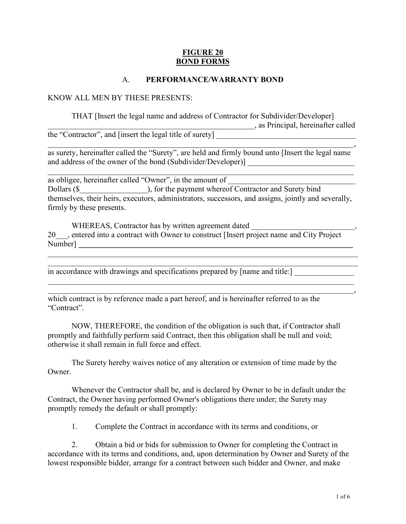## FIGURE 20 BOND FORMS

### A. PERFORMANCE/WARRANTY BOND

#### KNOW ALL MEN BY THESE PRESENTS:

 THAT [Insert the legal name and address of Contractor for Subdivider/Developer] \_\_\_\_\_\_\_\_\_\_\_\_\_\_\_\_\_\_\_\_\_\_\_\_\_\_\_\_\_\_\_\_\_\_\_\_\_\_\_\_\_\_\_\_\_\_\_\_\_\_\_\_, as Principal, hereinafter called the "Contractor", and [insert the legal title of surety]

\_\_\_\_\_\_\_\_\_\_\_\_\_\_\_\_\_\_\_\_\_\_\_\_\_\_\_\_\_\_\_\_\_\_\_\_\_\_\_\_\_\_\_\_\_\_\_\_\_\_\_\_\_\_\_\_\_\_\_\_\_\_\_\_\_\_\_\_\_\_\_\_\_\_\_\_\_, as surety, hereinafter called the "Surety", are held and firmly bound unto [Insert the legal name and address of the owner of the bond (Subdivider/Developer)]

\_\_\_\_\_\_\_\_\_\_\_\_\_\_\_\_\_\_\_\_\_\_\_\_\_\_\_\_\_\_\_\_\_\_\_\_\_\_\_\_\_\_\_\_\_\_\_\_\_\_\_\_\_\_\_\_\_\_\_\_\_\_\_\_\_\_\_\_\_\_\_\_\_\_\_\_\_

as obligee, hereinafter called "Owner", in the amount of Dollars (\$ The payment whereof Contractor and Surety bind themselves, their heirs, executors, administrators, successors, and assigns, jointly and severally, firmly by these presents.

WHEREAS, Contractor has by written agreement dated 20 sentered into a contract with Owner to construct [Insert project name and City Project Number] \_\_\_\_\_\_\_\_\_\_\_\_\_\_\_\_\_\_\_\_\_\_\_\_\_\_\_\_\_\_\_\_\_\_\_\_\_\_\_\_\_\_\_\_\_\_\_\_\_\_\_\_\_\_\_\_\_\_\_\_\_\_

\_\_\_\_\_\_\_\_\_\_\_\_\_\_\_\_\_\_\_\_\_\_\_\_\_\_\_\_\_\_\_\_\_\_\_\_\_\_\_\_\_\_\_\_\_\_\_\_\_\_\_\_\_\_\_\_\_\_\_\_\_\_\_\_\_\_\_\_\_\_\_\_\_\_\_\_\_\_ \_\_\_\_\_\_\_\_\_\_\_\_\_\_\_\_\_\_\_\_\_\_\_\_\_\_\_\_\_\_\_\_\_\_\_\_\_\_\_\_\_\_\_\_\_\_\_\_\_\_\_\_\_\_\_\_\_\_\_\_\_\_\_\_\_\_\_\_\_\_\_\_\_\_\_\_\_\_

\_\_\_\_\_\_\_\_\_\_\_\_\_\_\_\_\_\_\_\_\_\_\_\_\_\_\_\_\_\_\_\_\_\_\_\_\_\_\_\_\_\_\_\_\_\_\_\_\_\_\_\_\_\_\_\_\_\_\_\_\_\_\_\_\_\_\_\_\_\_\_\_\_\_\_\_\_

in accordance with drawings and specifications prepared by [name and title:]

 $\overline{\phantom{a}}$  , and the contract of the contract of the contract of the contract of the contract of the contract of the contract of the contract of the contract of the contract of the contract of the contract of the contrac which contract is by reference made a part hereof, and is hereinafter referred to as the "Contract".

NOW, THEREFORE, the condition of the obligation is such that, if Contractor shall promptly and faithfully perform said Contract, then this obligation shall be null and void; otherwise it shall remain in full force and effect.

The Surety hereby waives notice of any alteration or extension of time made by the Owner.

 Whenever the Contractor shall be, and is declared by Owner to be in default under the Contract, the Owner having performed Owner's obligations there under; the Surety may promptly remedy the default or shall promptly:

1. Complete the Contract in accordance with its terms and conditions, or

 2. Obtain a bid or bids for submission to Owner for completing the Contract in accordance with its terms and conditions, and, upon determination by Owner and Surety of the lowest responsible bidder, arrange for a contract between such bidder and Owner, and make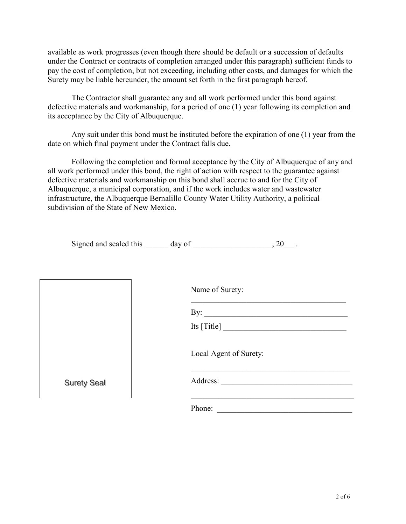available as work progresses (even though there should be default or a succession of defaults under the Contract or contracts of completion arranged under this paragraph) sufficient funds to pay the cost of completion, but not exceeding, including other costs, and damages for which the Surety may be liable hereunder, the amount set forth in the first paragraph hereof.

The Contractor shall guarantee any and all work performed under this bond against defective materials and workmanship, for a period of one (1) year following its completion and its acceptance by the City of Albuquerque.

Any suit under this bond must be instituted before the expiration of one (1) year from the date on which final payment under the Contract falls due.

Following the completion and formal acceptance by the City of Albuquerque of any and all work performed under this bond, the right of action with respect to the guarantee against defective materials and workmanship on this bond shall accrue to and for the City of Albuquerque, a municipal corporation, and if the work includes water and wastewater infrastructure, the Albuquerque Bernalillo County Water Utility Authority, a political subdivision of the State of New Mexico.

| Signed and sealed this | day of |  |  |
|------------------------|--------|--|--|
|                        |        |  |  |

|                    | Name of Surety:        |
|--------------------|------------------------|
|                    |                        |
|                    |                        |
|                    | Local Agent of Surety: |
| <b>Surety Seal</b> | Address:               |
|                    | Phone:                 |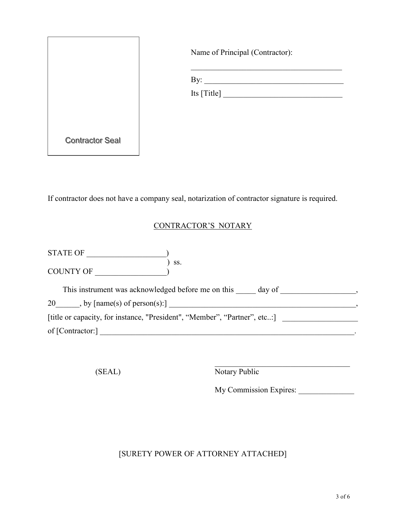|                        | Name of Principal (Contractor): |
|------------------------|---------------------------------|
|                        |                                 |
|                        | Its [Title]                     |
| <b>Contractor Seal</b> |                                 |

If contractor does not have a company seal, notarization of contractor signature is required.

## CONTRACTOR'S NOTARY

STATE OF \_\_\_\_\_\_\_\_\_\_\_\_\_\_\_\_\_\_\_\_) ) ss. COUNTY OF \_\_\_\_\_\_\_\_\_\_\_\_\_\_\_\_\_\_)

This instrument was acknowledged before me on this \_\_\_\_\_ day of \_\_\_\_\_\_\_\_\_\_\_\_\_\_\_\_, 20\_\_\_\_\_\_, by [name(s) of person(s):] \_\_\_\_\_\_\_\_\_\_\_\_\_\_\_\_\_\_\_\_\_\_\_\_\_\_\_\_\_\_\_\_\_\_\_\_\_\_\_\_\_\_\_\_\_\_\_, [title or capacity, for instance, "President", "Member", "Partner", etc..:] of [Contractor:] \_\_\_\_\_\_\_\_\_\_\_\_\_\_\_\_\_\_\_\_\_\_\_\_\_\_\_\_\_\_\_\_\_\_\_\_\_\_\_\_\_\_\_\_\_\_\_\_\_\_\_\_\_\_\_\_\_\_\_\_\_\_\_\_.

 $\_$  . The contribution of the contribution of  $\mathcal{L}_\mathbf{z}$ (SEAL) Notary Public

My Commission Expires:

# [SURETY POWER OF ATTORNEY ATTACHED]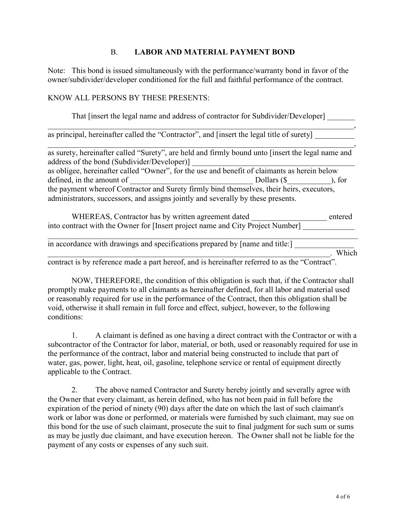## B. LABOR AND MATERIAL PAYMENT BOND

Note: This bond is issued simultaneously with the performance/warranty bond in favor of the owner/subdivider/developer conditioned for the full and faithful performance of the contract.

#### KNOW ALL PERSONS BY THESE PRESENTS:

That [insert the legal name and address of contractor for Subdivider/Developer] \_\_\_\_\_\_\_\_\_\_\_\_\_\_\_\_\_\_\_\_\_\_\_\_\_\_\_\_\_\_\_\_\_\_\_\_\_\_\_\_\_\_\_\_\_\_\_\_\_\_\_\_\_\_\_\_\_\_\_\_\_\_\_\_\_\_\_\_\_\_\_\_\_\_\_\_\_,

as principal, hereinafter called the "Contractor", and [insert the legal title of surety]

\_\_\_\_\_\_\_\_\_\_\_\_\_\_\_\_\_\_\_\_\_\_\_\_\_\_\_\_\_\_\_\_\_\_\_\_\_\_\_\_\_\_\_\_\_\_\_\_\_\_\_\_\_\_\_\_\_\_\_\_\_\_\_\_\_\_\_\_\_\_\_\_\_\_\_\_\_, as surety, hereinafter called "Surety", are held and firmly bound unto [insert the legal name and address of the bond (Subdivider/Developer)] as obligee, hereinafter called "Owner", for the use and benefit of claimants as herein below defined, in the amount of Theorem 2012 is the Dollars (\$ Theorem 2013), for the payment whereof Contractor and Surety firmly bind themselves, their heirs, executors, administrators, successors, and assigns jointly and severally by these presents.

 WHEREAS, Contractor has by written agreement dated \_\_\_\_\_\_\_\_\_\_\_\_\_\_\_\_\_\_\_ entered into contract with the Owner for [Insert project name and City Project Number]

\_\_\_\_\_\_\_\_\_\_\_\_\_\_\_\_\_\_\_\_\_\_\_\_\_\_\_\_\_\_\_\_\_\_\_\_\_\_\_\_\_\_\_\_\_\_\_\_\_\_\_\_\_\_\_\_\_\_\_\_\_\_\_\_\_\_\_\_\_\_\_\_\_\_\_\_\_\_ in accordance with drawings and specifications prepared by [name and title:]  $\blacksquare$  Which contract is by reference made a part hereof, and is hereinafter referred to as the "Contract".

 NOW, THEREFORE, the condition of this obligation is such that, if the Contractor shall promptly make payments to all claimants as hereinafter defined, for all labor and material used or reasonably required for use in the performance of the Contract, then this obligation shall be void, otherwise it shall remain in full force and effect, subject, however, to the following conditions:

1. A claimant is defined as one having a direct contract with the Contractor or with a subcontractor of the Contractor for labor, material, or both, used or reasonably required for use in the performance of the contract, labor and material being constructed to include that part of water, gas, power, light, heat, oil, gasoline, telephone service or rental of equipment directly applicable to the Contract.

 2. The above named Contractor and Surety hereby jointly and severally agree with the Owner that every claimant, as herein defined, who has not been paid in full before the expiration of the period of ninety (90) days after the date on which the last of such claimant's work or labor was done or performed, or materials were furnished by such claimant, may sue on this bond for the use of such claimant, prosecute the suit to final judgment for such sum or sums as may be justly due claimant, and have execution hereon. The Owner shall not be liable for the payment of any costs or expenses of any such suit.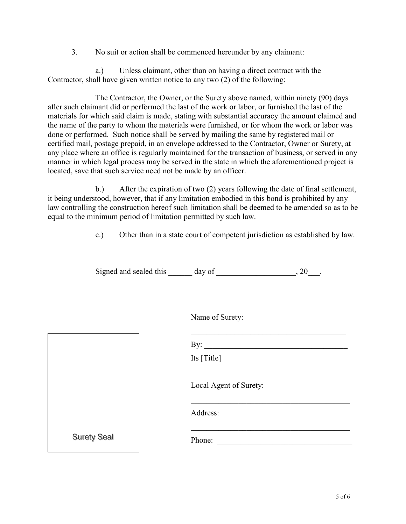3. No suit or action shall be commenced hereunder by any claimant:

a.) Unless claimant, other than on having a direct contract with the Contractor, shall have given written notice to any two (2) of the following:

The Contractor, the Owner, or the Surety above named, within ninety (90) days after such claimant did or performed the last of the work or labor, or furnished the last of the materials for which said claim is made, stating with substantial accuracy the amount claimed and the name of the party to whom the materials were furnished, or for whom the work or labor was done or performed. Such notice shall be served by mailing the same by registered mail or certified mail, postage prepaid, in an envelope addressed to the Contractor, Owner or Surety, at any place where an office is regularly maintained for the transaction of business, or served in any manner in which legal process may be served in the state in which the aforementioned project is located, save that such service need not be made by an officer.

b.) After the expiration of two (2) years following the date of final settlement, it being understood, however, that if any limitation embodied in this bond is prohibited by any law controlling the construction hereof such limitation shall be deemed to be amended so as to be equal to the minimum period of limitation permitted by such law.

c.) Other than in a state court of competent jurisdiction as established by law.

Signed and sealed this \_\_\_\_\_\_ day of \_\_\_\_\_\_\_\_\_\_\_\_\_\_\_\_\_\_\_\_, 20\_\_\_.

Name of Surety:

 $\_$  . The contribution of the contribution of  $\mathcal{L}_\mathcal{L}$ 

|                    | By: $\qquad \qquad$    |
|--------------------|------------------------|
|                    | Its $[Title]$          |
|                    | Local Agent of Surety: |
|                    | Address:               |
| <b>Surety Seal</b> | Phone:                 |